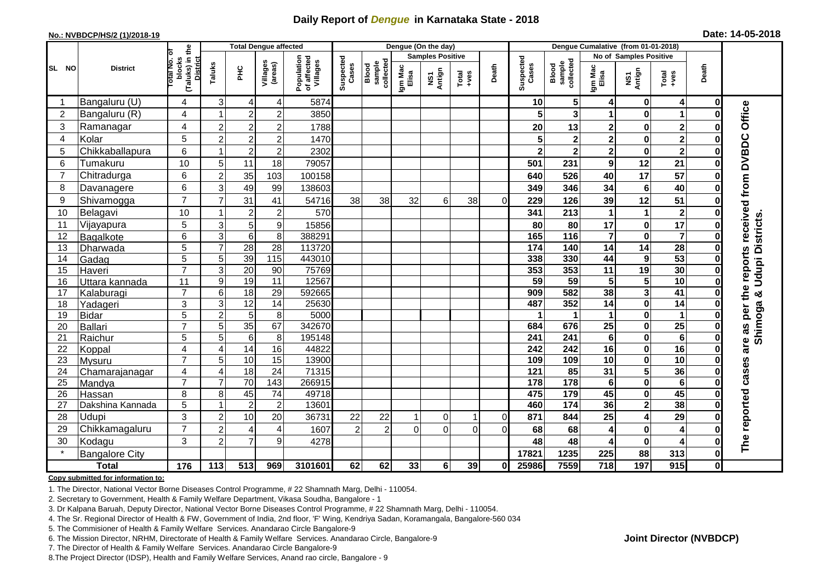## **Daily Report of** *Dengue* **in Karnataka State - 2018**

#### **No.: NVBDCP/HS/2 (1)/2018-19**

| Date: 14-05-2018 |  |  |  |  |
|------------------|--|--|--|--|
|------------------|--|--|--|--|

|                |                       |                                                   |                | <b>Total Dengue affected</b> |                     |                                       | Dengue (On the day) |                              |                  |                         |                  |          |                    | Dengue Cumalative (from 01-01-2018) |                         |                         |                         |              |                     |
|----------------|-----------------------|---------------------------------------------------|----------------|------------------------------|---------------------|---------------------------------------|---------------------|------------------------------|------------------|-------------------------|------------------|----------|--------------------|-------------------------------------|-------------------------|-------------------------|-------------------------|--------------|---------------------|
|                |                       | ō                                                 |                |                              |                     |                                       |                     |                              |                  | <b>Samples Positive</b> |                  |          |                    |                                     |                         | No of Samples Positive  |                         |              |                     |
| SL NO          | <b>District</b>       | (Taluks) in the<br>District<br>blocks<br>otal No. | Taluks         | PНC                          | Villages<br>(areas) | Population<br>of affected<br>Villages | Suspected<br>Cases  | sample<br>collected<br>Blood | Igm Mac<br>Elisa | NS1<br>Antign           | Total<br>$+ve$ s | Death    | Suspected<br>Cases | sample<br>collected<br>Blood        | Igm Mac<br>Elisa        | NS1<br>Antign           | Total<br>+ves           | Death        |                     |
| -1             | Bangaluru (U)         | 4                                                 | 3              | $\overline{4}$               | 4                   | 5874                                  |                     |                              |                  |                         |                  |          | 10                 | 5 <sub>l</sub>                      | 4                       | 0                       | 4                       | $\mathbf 0$  |                     |
| $\overline{2}$ | Bangaluru (R)         | 4                                                 |                | $\overline{2}$               | $\overline{2}$      | 3850                                  |                     |                              |                  |                         |                  |          |                    | 3                                   |                         | $\mathbf 0$             | 1                       | O            |                     |
| 3              | Ramanagar             | 4                                                 | $\overline{c}$ | $\boldsymbol{2}$             | $\overline{c}$      | 1788                                  |                     |                              |                  |                         |                  |          | 20                 | 13                                  | 2                       | $\pmb{0}$               | $\mathbf{2}$            |              | Office              |
| 4              | Kolar                 | 5                                                 | $\overline{2}$ | $\overline{2}$               | $\overline{c}$      | 1470                                  |                     |                              |                  |                         |                  |          |                    | $\mathbf{2}$                        | $\overline{\mathbf{c}}$ | $\mathbf 0$             | $\mathbf{2}$            | ŋ            |                     |
| 5              | Chikkaballapura       | 6                                                 |                | $\overline{2}$               | $\overline{c}$      | 2302                                  |                     |                              |                  |                         |                  |          |                    | $\overline{\mathbf{2}}$             | $\overline{\mathbf{2}}$ | $\mathbf 0$             | $\overline{2}$          | $\bf{0}$     |                     |
| 6              | Tumakuru              | 10                                                | 5              | 11                           | 18                  | 79057                                 |                     |                              |                  |                         |                  |          | 501                | 231                                 | 9                       | 12                      | 21                      | 0            |                     |
| $\overline{7}$ | Chitradurga           | 6                                                 | $\overline{c}$ | 35                           | 103                 | 100158                                |                     |                              |                  |                         |                  |          | 640                | 526                                 | 40                      | $\overline{17}$         | 57                      | ŋ            |                     |
| 8              | Davanagere            | 6                                                 | 3              | 49                           | 99                  | 138603                                |                     |                              |                  |                         |                  |          | 349                | 346                                 | 34                      | $\bf 6$                 | 40                      | O            |                     |
| 9              | Shivamogga            | $\overline{7}$                                    | 7              | 31                           | 41                  | 54716                                 | 38                  | 38                           | 32               | 6                       | 38               | $\Omega$ | 229                | 126                                 | 39                      | 12                      | 51                      | 0            | received from DVBDC |
| 10             | Belagavi              | 10                                                |                | $\overline{c}$               | $\overline{c}$      | 570                                   |                     |                              |                  |                         |                  |          | 341                | 213                                 |                         | $\mathbf{1}$            | $\mathbf{2}$            | O            |                     |
| 11             | Vijayapura            | 5                                                 | 3              | 5                            | 9                   | 15856                                 |                     |                              |                  |                         |                  |          | 80                 | 80                                  | 17                      | $\pmb{0}$               | $\overline{17}$         |              | Udupi Districts     |
| 12             | Bagalkote             | 6                                                 | $\mathbf{3}$   | $\overline{6}$               | 8                   | 388291                                |                     |                              |                  |                         |                  |          | 165                | $\frac{116}{116}$                   | $\overline{7}$          | $\mathbf 0$             | $\overline{\mathbf{7}}$ | 0            |                     |
| 13             | Dharwada              | 5                                                 | $\overline{7}$ | 28                           | $\overline{28}$     | 113720                                |                     |                              |                  |                         |                  |          | $\frac{1}{174}$    | 140                                 | $\overline{14}$         | $\overline{14}$         | 28                      | $\bf{0}$     |                     |
| 14             | Gadag                 | $\overline{5}$                                    | 5              | 39                           | $\frac{115}{115}$   | 443010                                |                     |                              |                  |                         |                  |          | 338                | 330                                 | 44                      | $\boldsymbol{9}$        | 53                      | O            | reports             |
| 15             | Haveri                | $\overline{7}$                                    | 3              | 20                           | 90                  | 75769                                 |                     |                              |                  |                         |                  |          | 353                | 353                                 | 11                      | 19                      | 30                      | 0            |                     |
| 16             | Uttara kannada        | 11                                                | 9              | 19                           | $\overline{11}$     | 12567                                 |                     |                              |                  |                         |                  |          | $\overline{59}$    | 59                                  | 5                       | $\overline{\mathbf{5}}$ | 10                      | $\bf{0}$     |                     |
| 17             | Kalaburagi            | $\overline{7}$                                    | $\,6$          | 18                           | $\overline{29}$     | 592665                                |                     |                              |                  |                         |                  |          | 909                | 582                                 | 38                      | $\overline{\mathbf{3}}$ | $\overline{41}$         |              | as per the<br>×     |
| 18             | Yadageri              | 3                                                 | 3              | $\overline{12}$              | 14                  | 25630                                 |                     |                              |                  |                         |                  |          | 487                | 352                                 | 14                      | $\mathbf 0$             | 14                      |              |                     |
| 19             | <b>Bidar</b>          | 5                                                 | $\overline{c}$ | 5                            | 8                   | 5000                                  |                     |                              |                  |                         |                  |          |                    |                                     | $\mathbf 1$             | $\mathbf 0$             | $\mathbf 1$             |              |                     |
| 20             | <b>Ballari</b>        | $\overline{7}$                                    | 5              | 35                           | 67                  | 342670                                |                     |                              |                  |                         |                  |          | 684                | 676                                 | $\overline{25}$         | $\pmb{0}$               | 25                      | ŋ            | Shimoga             |
| 21             | Raichur               | 5                                                 | 5              | $6\phantom{1}6$              | 8                   | 195148                                |                     |                              |                  |                         |                  |          | 241                | 241                                 | 6                       | $\bf{0}$                | $6\phantom{1}6$         | $\bf{0}$     |                     |
| 22             | Koppal                | $\overline{\mathbf{4}}$                           | $\overline{4}$ | 14                           | 16                  | 44822                                 |                     |                              |                  |                         |                  |          | 242                | 242                                 | 16                      | $\mathbf 0$             | 16                      |              | are                 |
| 23             | Mysuru                | $\overline{7}$                                    | 5              | 10                           | 15                  | 13900                                 |                     |                              |                  |                         |                  |          | 109                | 109                                 | 10                      | $\pmb{0}$               | $\overline{10}$         | O            |                     |
| 24             | Chamarajanagar        | $\overline{4}$                                    | $\overline{4}$ | 18                           | $\overline{24}$     | 71315                                 |                     |                              |                  |                         |                  |          | 121                | 85                                  | $\overline{31}$         | $\overline{\mathbf{5}}$ | 36                      | 0            | cases               |
| 25             | Mandya                | $\overline{7}$                                    | $\overline{7}$ | 70                           | 143                 | 266915                                |                     |                              |                  |                         |                  |          | 178                | 178                                 | $\bf 6$                 | $\overline{\mathbf{0}}$ | $6\phantom{1}6$         | $\bf{0}$     |                     |
| 26             | Hassan                | 8                                                 | 8              | 45                           | 74                  | 49718                                 |                     |                              |                  |                         |                  |          | 475                | $\frac{1}{179}$                     | 45                      | $\pmb{0}$               | 45                      | $\bf{0}$     |                     |
| 27             | Dakshina Kannada      | 5                                                 | -1             | $\overline{2}$               | $\overline{c}$      | 13601                                 |                     |                              |                  |                         |                  |          | 460                | $\frac{1}{174}$                     | 36                      | $\mathbf{2}$            | 38                      | 0            |                     |
| 28             | Udupi                 | 3                                                 | $\overline{2}$ | 10                           | 20                  | 36731                                 | 22                  | 22                           |                  | $\mathbf 0$             | -1               | $\Omega$ | 871                | 844                                 | 25                      | 4                       | 29                      | ŋ            | reported            |
| 29             | Chikkamagaluru        | $\overline{7}$                                    | $\overline{2}$ | 4                            | 4                   | 1607                                  | $\overline{c}$      | $\overline{2}$               | $\Omega$         | $\overline{0}$          | $\Omega$         | $\Omega$ | 68                 | 68                                  | 4                       | $\pmb{0}$               | 4                       | ŋ            |                     |
| 30             | Kodagu                | 3                                                 | $\overline{2}$ | $\overline{7}$               | 9                   | 4278                                  |                     |                              |                  |                         |                  |          | 48                 | 48                                  | 4                       | $\mathbf 0$             | 4                       | ŋ            | The                 |
|                | <b>Bangalore City</b> |                                                   |                |                              |                     |                                       |                     |                              |                  |                         |                  |          | 17821              | 1235                                | 225                     | 88                      | 313                     | 0            |                     |
|                | <b>Total</b>          | 176                                               | 113            | 513                          | 969                 | 3101601                               | 62                  | 62                           | 33               | 6                       | 39               | 0I       | 25986              | 7559                                | 718                     | 197                     | 915                     | $\mathbf{0}$ |                     |

#### **Copy submitted for information to:**

1. The Director, National Vector Borne Diseases Control Programme, # 22 Shamnath Marg, Delhi - 110054.

2. Secretary to Government, Health & Family Welfare Department, Vikasa Soudha, Bangalore - 1

3. Dr Kalpana Baruah, Deputy Director, National Vector Borne Diseases Control Programme, # 22 Shamnath Marg, Delhi - 110054.

4. The Sr. Regional Director of Health & FW, Government of India, 2nd floor, 'F' Wing, Kendriya Sadan, Koramangala, Bangalore-560 034

5. The Commisioner of Health & Family Welfare Services. Anandarao Circle Bangalore-9

6. The Mission Director, NRHM, Directorate of Health & Family Welfare Services. Anandarao Circle, Bangalore-9

7. The Director of Health & Family Welfare Services. Anandarao Circle Bangalore-9

8.The Project Director (IDSP), Health and Family Welfare Services, Anand rao circle, Bangalore - 9